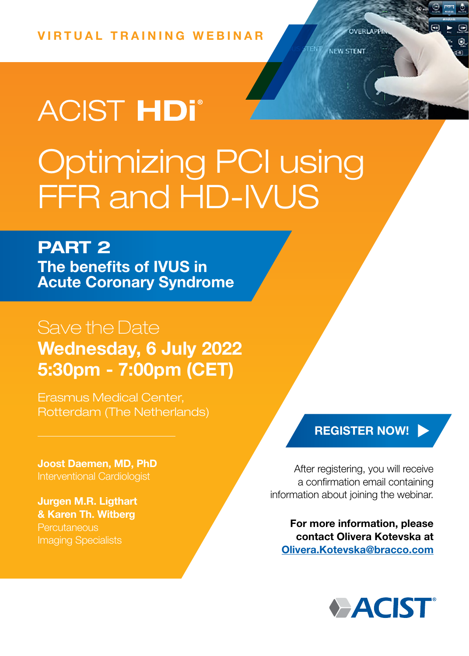OVERLAPPI

#### **VEW STENT**

# **ACIST HDi**° Optimizing PCI using FFR and HD-IVUS

#### PART 2 The benefits of IVUS in Acute Coronary Syndrome

### Save the Date **Wednesday, 6 July 2022 5:30pm - 7:00pm (CET)**

Erasmus Medical Center, Rotterdam (The Netherlands)

**Joost Daemen, MD, PhD**  Interventional Cardiologist

**Jurgen M.R. Ligthart & Karen Th. Witberg** Imaging Specialists

#### REGISTER NOW!

After registering, you will receive a confirmation email containing information about joining the webinar.

For more information, please contact Olivera Kotevska at [Olivera.Kotevska@bracco.com](mailto:Olivera.Kotevska%40bracco.com?subject=)

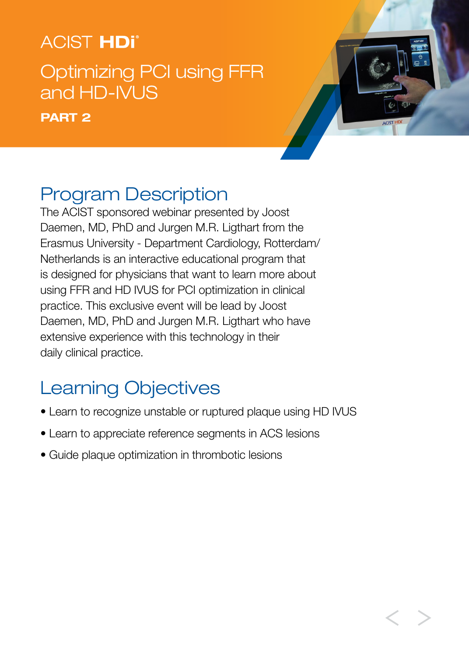#### **ACIST HDi**<sup>\*</sup>

### Optimizing PCI using FFR and HD-IVUS

PART 2



### Program Description

The ACIST sponsored webinar presented by Joost Daemen, MD, PhD and Jurgen M.R. Ligthart from the Erasmus University - Department Cardiology, Rotterdam/ Netherlands is an interactive educational program that is designed for physicians that want to learn more about using FFR and HD IVUS for PCI optimization in clinical practice. This exclusive event will be lead by Joost Daemen, MD, PhD and Jurgen M.R. Ligthart who have extensive experience with this technology in their daily clinical practice.

## Learning Objectives

- Learn to recognize unstable or ruptured plaque using HD IVUS
- Learn to appreciate reference segments in ACS lesions
- Guide plaque optimization in thrombotic lesions